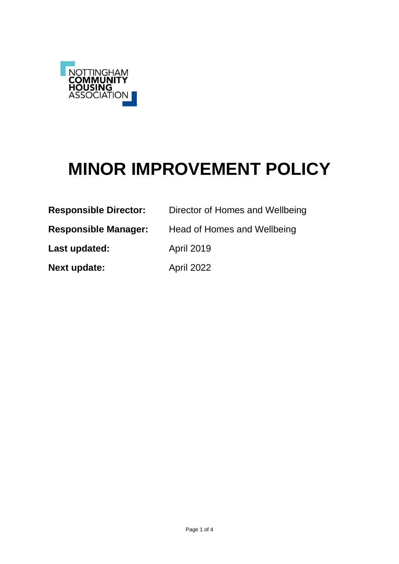

# **MINOR IMPROVEMENT POLICY**

| <b>Responsible Director:</b> | Director of Homes and Wellbeing |
|------------------------------|---------------------------------|
| <b>Responsible Manager:</b>  | Head of Homes and Wellbeing     |
| Last updated:                | <b>April 2019</b>               |
| <b>Next update:</b>          | April 2022                      |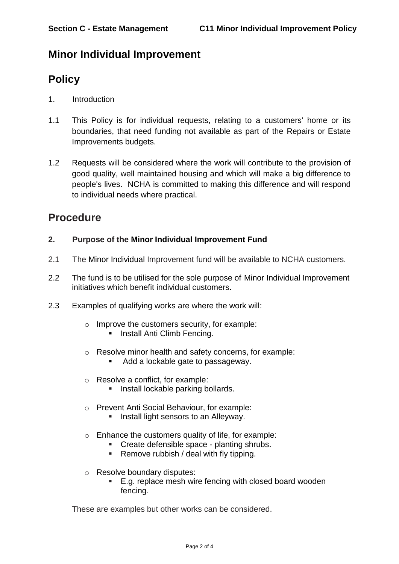## **Minor Individual Improvement**

# **Policy**

- 1. Introduction
- 1.1 This Policy is for individual requests, relating to a customers' home or its boundaries, that need funding not available as part of the Repairs or Estate Improvements budgets.
- 1.2 Requests will be considered where the work will contribute to the provision of good quality, well maintained housing and which will make a big difference to people's lives. NCHA is committed to making this difference and will respond to individual needs where practical.

## **Procedure**

#### **2. Purpose of the Minor Individual Improvement Fund**

- 2.1 The Minor Individual Improvement fund will be available to NCHA customers.
- 2.2 The fund is to be utilised for the sole purpose of Minor Individual Improvement initiatives which benefit individual customers.
- 2.3 Examples of qualifying works are where the work will:
	- $\circ$  Improve the customers security, for example:
		- **Install Anti Climb Fencing.**
	- o Resolve minor health and safety concerns, for example:
		- Add a lockable gate to passageway.
	- o Resolve a conflict, for example:
		- **Install lockable parking bollards.**
	- o Prevent Anti Social Behaviour, for example:
		- **Install light sensors to an Alleyway.**
	- o Enhance the customers quality of life, for example:
		- Create defensible space planting shrubs.
		- **Remove rubbish / deal with fly tipping.**
	- o Resolve boundary disputes:
		- E.g. replace mesh wire fencing with closed board wooden fencing.

These are examples but other works can be considered.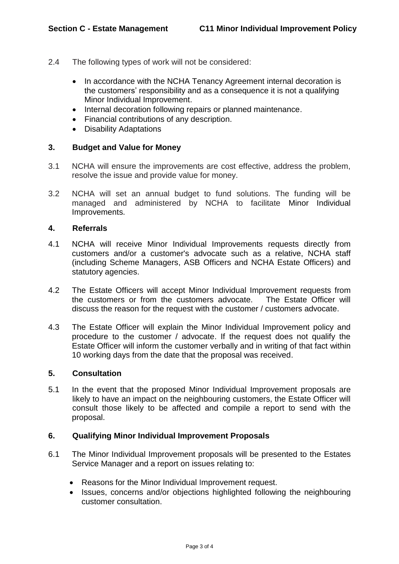- 2.4 The following types of work will not be considered:
	- In accordance with the NCHA Tenancy Agreement internal decoration is the customers' responsibility and as a consequence it is not a qualifying Minor Individual Improvement.
	- Internal decoration following repairs or planned maintenance.
	- Financial contributions of any description.
	- Disability Adaptations

#### **3. Budget and Value for Money**

- 3.1 NCHA will ensure the improvements are cost effective, address the problem, resolve the issue and provide value for money.
- 3.2 NCHA will set an annual budget to fund solutions. The funding will be managed and administered by NCHA to facilitate Minor Individual Improvements.

#### **4. Referrals**

- 4.1 NCHA will receive Minor Individual Improvements requests directly from customers and/or a customer's advocate such as a relative, NCHA staff (including Scheme Managers, ASB Officers and NCHA Estate Officers) and statutory agencies.
- 4.2 The Estate Officers will accept Minor Individual Improvement requests from the customers or from the customers advocate. The Estate Officer will discuss the reason for the request with the customer / customers advocate.
- 4.3 The Estate Officer will explain the Minor Individual Improvement policy and procedure to the customer / advocate. If the request does not qualify the Estate Officer will inform the customer verbally and in writing of that fact within 10 working days from the date that the proposal was received.

#### **5. Consultation**

5.1 In the event that the proposed Minor Individual Improvement proposals are likely to have an impact on the neighbouring customers, the Estate Officer will consult those likely to be affected and compile a report to send with the proposal.

#### **6. Qualifying Minor Individual Improvement Proposals**

- 6.1 The Minor Individual Improvement proposals will be presented to the Estates Service Manager and a report on issues relating to:
	- Reasons for the Minor Individual Improvement request.
	- Issues, concerns and/or objections highlighted following the neighbouring customer consultation.